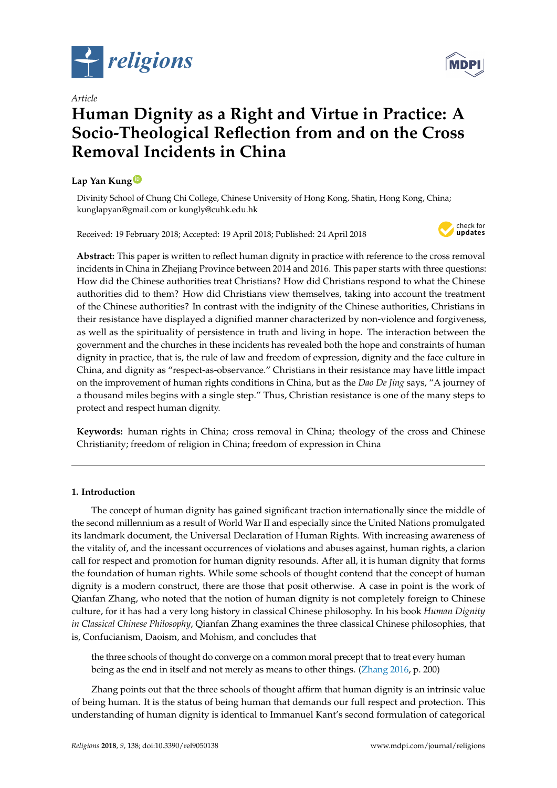

*Article*

# **Human Dignity as a Right and Virtue in Practice: A Socio-Theological Reflection from and on the Cross Removal Incidents in China**

**Lap Yan Kung [ID](https://orcid.org/0000-0001-9307-564X)**

Divinity School of Chung Chi College, Chinese University of Hong Kong, Shatin, Hong Kong, China; kunglapyan@gmail.com or kungly@cuhk.edu.hk

Received: 19 February 2018; Accepted: 19 April 2018; Published: 24 April 2018



**Abstract:** This paper is written to reflect human dignity in practice with reference to the cross removal incidents in China in Zhejiang Province between 2014 and 2016. This paper starts with three questions: How did the Chinese authorities treat Christians? How did Christians respond to what the Chinese authorities did to them? How did Christians view themselves, taking into account the treatment of the Chinese authorities? In contrast with the indignity of the Chinese authorities, Christians in their resistance have displayed a dignified manner characterized by non-violence and forgiveness, as well as the spirituality of persistence in truth and living in hope. The interaction between the government and the churches in these incidents has revealed both the hope and constraints of human dignity in practice, that is, the rule of law and freedom of expression, dignity and the face culture in China, and dignity as "respect-as-observance." Christians in their resistance may have little impact on the improvement of human rights conditions in China, but as the *Dao De Jing* says, "A journey of a thousand miles begins with a single step." Thus, Christian resistance is one of the many steps to protect and respect human dignity.

**Keywords:** human rights in China; cross removal in China; theology of the cross and Chinese Christianity; freedom of religion in China; freedom of expression in China

## **1. Introduction**

The concept of human dignity has gained significant traction internationally since the middle of the second millennium as a result of World War II and especially since the United Nations promulgated its landmark document, the Universal Declaration of Human Rights. With increasing awareness of the vitality of, and the incessant occurrences of violations and abuses against, human rights, a clarion call for respect and promotion for human dignity resounds. After all, it is human dignity that forms the foundation of human rights. While some schools of thought contend that the concept of human dignity is a modern construct, there are those that posit otherwise. A case in point is the work of Qianfan Zhang, who noted that the notion of human dignity is not completely foreign to Chinese culture, for it has had a very long history in classical Chinese philosophy. In his book *Human Dignity in Classical Chinese Philosophy*, Qianfan Zhang examines the three classical Chinese philosophies, that is, Confucianism, Daoism, and Mohism, and concludes that

the three schools of thought do converge on a common moral precept that to treat every human being as the end in itself and not merely as means to other things. [\(Zhang](#page-15-0) [2016,](#page-15-0) p. 200)

Zhang points out that the three schools of thought affirm that human dignity is an intrinsic value of being human. It is the status of being human that demands our full respect and protection. This understanding of human dignity is identical to Immanuel Kant's second formulation of categorical

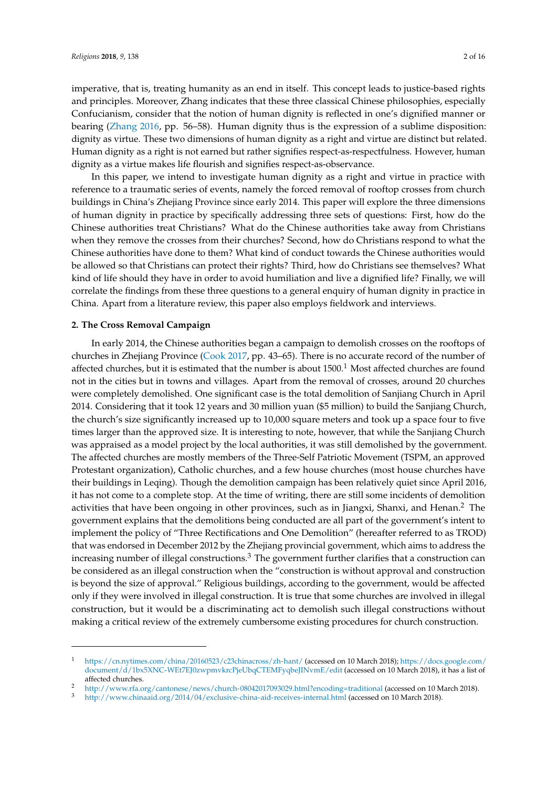imperative, that is, treating humanity as an end in itself. This concept leads to justice-based rights and principles. Moreover, Zhang indicates that these three classical Chinese philosophies, especially Confucianism, consider that the notion of human dignity is reflected in one's dignified manner or bearing [\(Zhang](#page-15-0) [2016,](#page-15-0) pp. 56–58). Human dignity thus is the expression of a sublime disposition: dignity as virtue. These two dimensions of human dignity as a right and virtue are distinct but related. Human dignity as a right is not earned but rather signifies respect-as-respectfulness. However, human dignity as a virtue makes life flourish and signifies respect-as-observance.

In this paper, we intend to investigate human dignity as a right and virtue in practice with reference to a traumatic series of events, namely the forced removal of rooftop crosses from church buildings in China's Zhejiang Province since early 2014. This paper will explore the three dimensions of human dignity in practice by specifically addressing three sets of questions: First, how do the Chinese authorities treat Christians? What do the Chinese authorities take away from Christians when they remove the crosses from their churches? Second, how do Christians respond to what the Chinese authorities have done to them? What kind of conduct towards the Chinese authorities would be allowed so that Christians can protect their rights? Third, how do Christians see themselves? What kind of life should they have in order to avoid humiliation and live a dignified life? Finally, we will correlate the findings from these three questions to a general enquiry of human dignity in practice in China. Apart from a literature review, this paper also employs fieldwork and interviews.

## **2. The Cross Removal Campaign**

In early 2014, the Chinese authorities began a campaign to demolish crosses on the rooftops of churches in Zhejiang Province [\(Cook](#page-15-1) [2017,](#page-15-1) pp. 43–65). There is no accurate record of the number of affected churches, but it is estimated that the number is about  $1500<sup>1</sup>$  Most affected churches are found not in the cities but in towns and villages. Apart from the removal of crosses, around 20 churches were completely demolished. One significant case is the total demolition of Sanjiang Church in April 2014. Considering that it took 12 years and 30 million yuan (\$5 million) to build the Sanjiang Church, the church's size significantly increased up to 10,000 square meters and took up a space four to five times larger than the approved size. It is interesting to note, however, that while the Sanjiang Church was appraised as a model project by the local authorities, it was still demolished by the government. The affected churches are mostly members of the Three-Self Patriotic Movement (TSPM, an approved Protestant organization), Catholic churches, and a few house churches (most house churches have their buildings in Leqing). Though the demolition campaign has been relatively quiet since April 2016, it has not come to a complete stop. At the time of writing, there are still some incidents of demolition activities that have been ongoing in other provinces, such as in Jiangxi, Shanxi, and Henan.<sup>2</sup> The government explains that the demolitions being conducted are all part of the government's intent to implement the policy of "Three Rectifications and One Demolition" (hereafter referred to as TROD) that was endorsed in December 2012 by the Zhejiang provincial government, which aims to address the increasing number of illegal constructions.<sup>3</sup> The government further clarifies that a construction can be considered as an illegal construction when the "construction is without approval and construction is beyond the size of approval." Religious buildings, according to the government, would be affected only if they were involved in illegal construction. It is true that some churches are involved in illegal construction, but it would be a discriminating act to demolish such illegal constructions without making a critical review of the extremely cumbersome existing procedures for church construction.

<sup>1</sup> <https://cn.nytimes.com/china/20160523/c23chinacross/zh-hant/> (accessed on 10 March 2018); [https://docs.google.com/](https://docs.google.com/document/d/1bx5XNC-WEt7EJ0zwpmvkrcPjeUbqCTEMFyqbeJINvmE/edit) [document/d/1bx5XNC-WEt7EJ0zwpmvkrcPjeUbqCTEMFyqbeJINvmE/edit](https://docs.google.com/document/d/1bx5XNC-WEt7EJ0zwpmvkrcPjeUbqCTEMFyqbeJINvmE/edit) (accessed on 10 March 2018), it has a list of affected churches.

<sup>2</sup> <http://www.rfa.org/cantonese/news/church-08042017093029.html?encoding=traditional> (accessed on 10 March 2018).

<sup>3</sup> <http://www.chinaaid.org/2014/04/exclusive-china-aid-receives-internal.html> (accessed on 10 March 2018).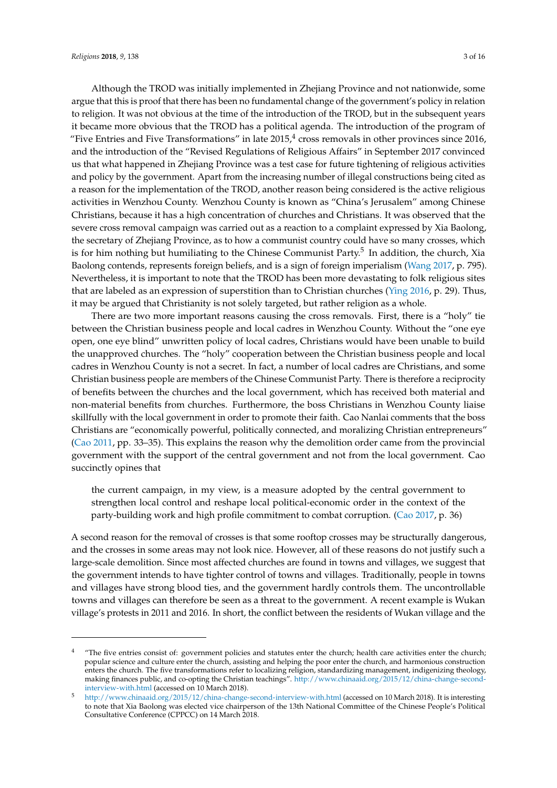Although the TROD was initially implemented in Zhejiang Province and not nationwide, some argue that this is proof that there has been no fundamental change of the government's policy in relation to religion. It was not obvious at the time of the introduction of the TROD, but in the subsequent years it became more obvious that the TROD has a political agenda. The introduction of the program of "Five Entries and Five Transformations" in late  $2015<sup>4</sup>$  cross removals in other provinces since 2016, and the introduction of the "Revised Regulations of Religious Affairs" in September 2017 convinced us that what happened in Zhejiang Province was a test case for future tightening of religious activities and policy by the government. Apart from the increasing number of illegal constructions being cited as a reason for the implementation of the TROD, another reason being considered is the active religious activities in Wenzhou County. Wenzhou County is known as "China's Jerusalem" among Chinese Christians, because it has a high concentration of churches and Christians. It was observed that the severe cross removal campaign was carried out as a reaction to a complaint expressed by Xia Baolong, the secretary of Zhejiang Province, as to how a communist country could have so many crosses, which is for him nothing but humiliating to the Chinese Communist Party.<sup>5</sup> In addition, the church, Xia Baolong contends, represents foreign beliefs, and is a sign of foreign imperialism [\(Wang](#page-15-2) [2017,](#page-15-2) p. 795). Nevertheless, it is important to note that the TROD has been more devastating to folk religious sites that are labeled as an expression of superstition than to Christian churches [\(Ying](#page-15-3) [2016,](#page-15-3) p. 29). Thus, it may be argued that Christianity is not solely targeted, but rather religion as a whole.

There are two more important reasons causing the cross removals. First, there is a "holy" tie between the Christian business people and local cadres in Wenzhou County. Without the "one eye open, one eye blind" unwritten policy of local cadres, Christians would have been unable to build the unapproved churches. The "holy" cooperation between the Christian business people and local cadres in Wenzhou County is not a secret. In fact, a number of local cadres are Christians, and some Christian business people are members of the Chinese Communist Party. There is therefore a reciprocity of benefits between the churches and the local government, which has received both material and non-material benefits from churches. Furthermore, the boss Christians in Wenzhou County liaise skillfully with the local government in order to promote their faith. Cao Nanlai comments that the boss Christians are "economically powerful, politically connected, and moralizing Christian entrepreneurs" [\(Cao](#page-15-4) [2011,](#page-15-4) pp. 33–35). This explains the reason why the demolition order came from the provincial government with the support of the central government and not from the local government. Cao succinctly opines that

the current campaign, in my view, is a measure adopted by the central government to strengthen local control and reshape local political-economic order in the context of the party-building work and high profile commitment to combat corruption. [\(Cao](#page-15-5) [2017,](#page-15-5) p. 36)

A second reason for the removal of crosses is that some rooftop crosses may be structurally dangerous, and the crosses in some areas may not look nice. However, all of these reasons do not justify such a large-scale demolition. Since most affected churches are found in towns and villages, we suggest that the government intends to have tighter control of towns and villages. Traditionally, people in towns and villages have strong blood ties, and the government hardly controls them. The uncontrollable towns and villages can therefore be seen as a threat to the government. A recent example is Wukan village's protests in 2011 and 2016. In short, the conflict between the residents of Wukan village and the

<sup>4</sup> "The five entries consist of: government policies and statutes enter the church; health care activities enter the church; popular science and culture enter the church, assisting and helping the poor enter the church, and harmonious construction enters the church. The five transformations refer to localizing religion, standardizing management, indigenizing theology, making finances public, and co-opting the Christian teachings". [http://www.chinaaid.org/2015/12/china-change-second](http://www.chinaaid.org/2015/12/china-change-second-interview-with.html)[interview-with.html](http://www.chinaaid.org/2015/12/china-change-second-interview-with.html) (accessed on 10 March 2018).

<sup>5</sup> <http://www.chinaaid.org/2015/12/china-change-second-interview-with.html> (accessed on 10 March 2018). It is interesting to note that Xia Baolong was elected vice chairperson of the 13th National Committee of the Chinese People's Political Consultative Conference (CPPCC) on 14 March 2018.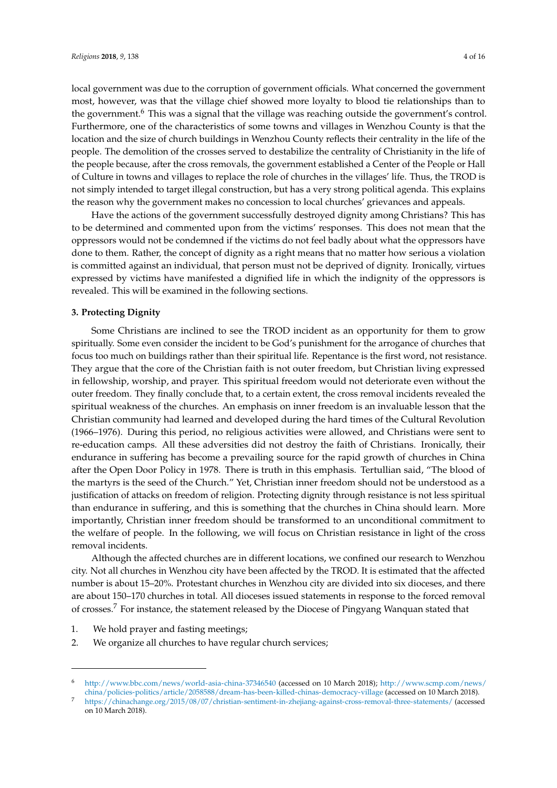local government was due to the corruption of government officials. What concerned the government most, however, was that the village chief showed more loyalty to blood tie relationships than to the government.<sup>6</sup> This was a signal that the village was reaching outside the government's control. Furthermore, one of the characteristics of some towns and villages in Wenzhou County is that the location and the size of church buildings in Wenzhou County reflects their centrality in the life of the people. The demolition of the crosses served to destabilize the centrality of Christianity in the life of the people because, after the cross removals, the government established a Center of the People or Hall of Culture in towns and villages to replace the role of churches in the villages' life. Thus, the TROD is not simply intended to target illegal construction, but has a very strong political agenda. This explains the reason why the government makes no concession to local churches' grievances and appeals.

Have the actions of the government successfully destroyed dignity among Christians? This has to be determined and commented upon from the victims' responses. This does not mean that the oppressors would not be condemned if the victims do not feel badly about what the oppressors have done to them. Rather, the concept of dignity as a right means that no matter how serious a violation is committed against an individual, that person must not be deprived of dignity. Ironically, virtues expressed by victims have manifested a dignified life in which the indignity of the oppressors is revealed. This will be examined in the following sections.

## **3. Protecting Dignity**

Some Christians are inclined to see the TROD incident as an opportunity for them to grow spiritually. Some even consider the incident to be God's punishment for the arrogance of churches that focus too much on buildings rather than their spiritual life. Repentance is the first word, not resistance. They argue that the core of the Christian faith is not outer freedom, but Christian living expressed in fellowship, worship, and prayer. This spiritual freedom would not deteriorate even without the outer freedom. They finally conclude that, to a certain extent, the cross removal incidents revealed the spiritual weakness of the churches. An emphasis on inner freedom is an invaluable lesson that the Christian community had learned and developed during the hard times of the Cultural Revolution (1966–1976). During this period, no religious activities were allowed, and Christians were sent to re-education camps. All these adversities did not destroy the faith of Christians. Ironically, their endurance in suffering has become a prevailing source for the rapid growth of churches in China after the Open Door Policy in 1978. There is truth in this emphasis. Tertullian said, "The blood of the martyrs is the seed of the Church." Yet, Christian inner freedom should not be understood as a justification of attacks on freedom of religion. Protecting dignity through resistance is not less spiritual than endurance in suffering, and this is something that the churches in China should learn. More importantly, Christian inner freedom should be transformed to an unconditional commitment to the welfare of people. In the following, we will focus on Christian resistance in light of the cross removal incidents.

Although the affected churches are in different locations, we confined our research to Wenzhou city. Not all churches in Wenzhou city have been affected by the TROD. It is estimated that the affected number is about 15–20%. Protestant churches in Wenzhou city are divided into six dioceses, and there are about 150–170 churches in total. All dioceses issued statements in response to the forced removal of crosses.<sup>7</sup> For instance, the statement released by the Diocese of Pingyang Wanquan stated that

- 1. We hold prayer and fasting meetings;
- 2. We organize all churches to have regular church services;

<sup>6</sup> <http://www.bbc.com/news/world-asia-china-37346540> (accessed on 10 March 2018); [http://www.scmp.com/news/](http://www.scmp.com/news/china/policies-politics/article/2058588/dream-has-been-killed-chinas-democracy-village) [china/policies-politics/article/2058588/dream-has-been-killed-chinas-democracy-village](http://www.scmp.com/news/china/policies-politics/article/2058588/dream-has-been-killed-chinas-democracy-village) (accessed on 10 March 2018).

<sup>7</sup> <https://chinachange.org/2015/08/07/christian-sentiment-in-zhejiang-against-cross-removal-three-statements/> (accessed on 10 March 2018).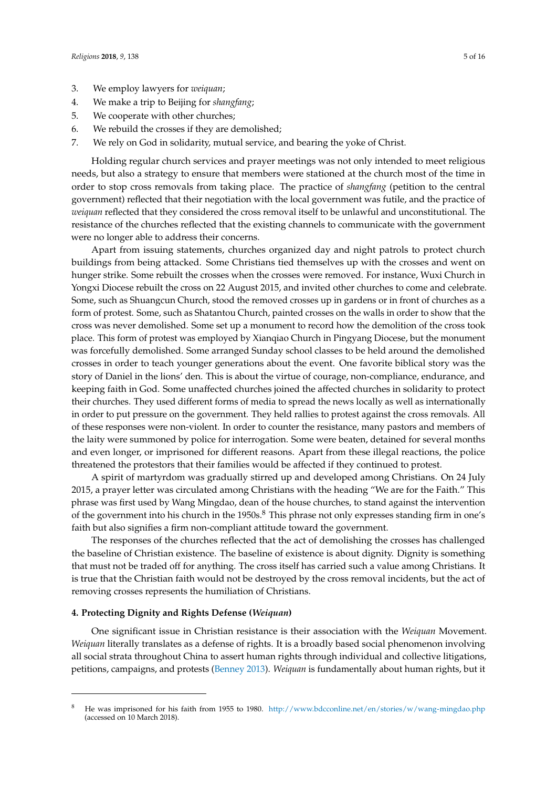- 3. We employ lawyers for *weiquan*;
- 4. We make a trip to Beijing for *shangfang*;
- 5. We cooperate with other churches;
- 6. We rebuild the crosses if they are demolished;
- 7. We rely on God in solidarity, mutual service, and bearing the yoke of Christ.

Holding regular church services and prayer meetings was not only intended to meet religious needs, but also a strategy to ensure that members were stationed at the church most of the time in order to stop cross removals from taking place. The practice of *shangfang* (petition to the central government) reflected that their negotiation with the local government was futile, and the practice of *weiquan* reflected that they considered the cross removal itself to be unlawful and unconstitutional. The resistance of the churches reflected that the existing channels to communicate with the government were no longer able to address their concerns.

Apart from issuing statements, churches organized day and night patrols to protect church buildings from being attacked. Some Christians tied themselves up with the crosses and went on hunger strike. Some rebuilt the crosses when the crosses were removed. For instance, Wuxi Church in Yongxi Diocese rebuilt the cross on 22 August 2015, and invited other churches to come and celebrate. Some, such as Shuangcun Church, stood the removed crosses up in gardens or in front of churches as a form of protest. Some, such as Shatantou Church, painted crosses on the walls in order to show that the cross was never demolished. Some set up a monument to record how the demolition of the cross took place. This form of protest was employed by Xianqiao Church in Pingyang Diocese, but the monument was forcefully demolished. Some arranged Sunday school classes to be held around the demolished crosses in order to teach younger generations about the event. One favorite biblical story was the story of Daniel in the lions' den. This is about the virtue of courage, non-compliance, endurance, and keeping faith in God. Some unaffected churches joined the affected churches in solidarity to protect their churches. They used different forms of media to spread the news locally as well as internationally in order to put pressure on the government. They held rallies to protest against the cross removals. All of these responses were non-violent. In order to counter the resistance, many pastors and members of the laity were summoned by police for interrogation. Some were beaten, detained for several months and even longer, or imprisoned for different reasons. Apart from these illegal reactions, the police threatened the protestors that their families would be affected if they continued to protest.

A spirit of martyrdom was gradually stirred up and developed among Christians. On 24 July 2015, a prayer letter was circulated among Christians with the heading "We are for the Faith." This phrase was first used by Wang Mingdao, dean of the house churches, to stand against the intervention of the government into his church in the 1950s.<sup>8</sup> This phrase not only expresses standing firm in one's faith but also signifies a firm non-compliant attitude toward the government.

The responses of the churches reflected that the act of demolishing the crosses has challenged the baseline of Christian existence. The baseline of existence is about dignity. Dignity is something that must not be traded off for anything. The cross itself has carried such a value among Christians. It is true that the Christian faith would not be destroyed by the cross removal incidents, but the act of removing crosses represents the humiliation of Christians.

#### **4. Protecting Dignity and Rights Defense (***Weiquan***)**

One significant issue in Christian resistance is their association with the *Weiquan* Movement. *Weiquan* literally translates as a defense of rights. It is a broadly based social phenomenon involving all social strata throughout China to assert human rights through individual and collective litigations, petitions, campaigns, and protests [\(Benney](#page-15-6) [2013\)](#page-15-6). *Weiquan* is fundamentally about human rights, but it

<sup>8</sup> He was imprisoned for his faith from 1955 to 1980. <http://www.bdcconline.net/en/stories/w/wang-mingdao.php> (accessed on 10 March 2018).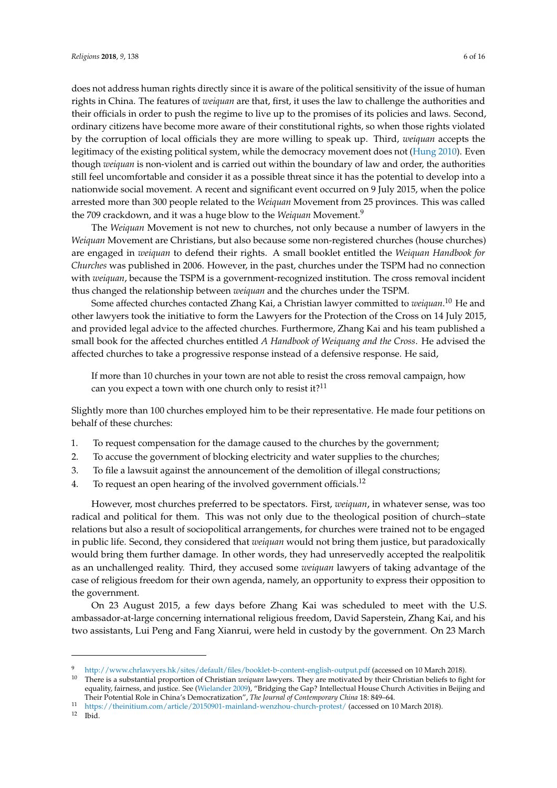does not address human rights directly since it is aware of the political sensitivity of the issue of human rights in China. The features of *weiquan* are that, first, it uses the law to challenge the authorities and their officials in order to push the regime to live up to the promises of its policies and laws. Second, ordinary citizens have become more aware of their constitutional rights, so when those rights violated by the corruption of local officials they are more willing to speak up. Third, *weiquan* accepts the legitimacy of the existing political system, while the democracy movement does not [\(Hung](#page-15-7) [2010\)](#page-15-7). Even though *weiquan* is non-violent and is carried out within the boundary of law and order, the authorities still feel uncomfortable and consider it as a possible threat since it has the potential to develop into a nationwide social movement. A recent and significant event occurred on 9 July 2015, when the police arrested more than 300 people related to the *Weiquan* Movement from 25 provinces. This was called the 709 crackdown, and it was a huge blow to the *Weiquan* Movement.<sup>9</sup>

The *Weiquan* Movement is not new to churches, not only because a number of lawyers in the *Weiquan* Movement are Christians, but also because some non-registered churches (house churches) are engaged in *weiquan* to defend their rights. A small booklet entitled the *Weiquan Handbook for Churches* was published in 2006. However, in the past, churches under the TSPM had no connection with *weiquan*, because the TSPM is a government-recognized institution. The cross removal incident thus changed the relationship between *weiquan* and the churches under the TSPM.

Some affected churches contacted Zhang Kai, a Christian lawyer committed to *weiquan*. <sup>10</sup> He and other lawyers took the initiative to form the Lawyers for the Protection of the Cross on 14 July 2015, and provided legal advice to the affected churches. Furthermore, Zhang Kai and his team published a small book for the affected churches entitled *A Handbook of Weiquang and the Cross*. He advised the affected churches to take a progressive response instead of a defensive response. He said,

If more than 10 churches in your town are not able to resist the cross removal campaign, how can you expect a town with one church only to resist it?<sup>11</sup>

Slightly more than 100 churches employed him to be their representative. He made four petitions on behalf of these churches:

- 1. To request compensation for the damage caused to the churches by the government;
- 2. To accuse the government of blocking electricity and water supplies to the churches;
- 3. To file a lawsuit against the announcement of the demolition of illegal constructions;
- 4. To request an open hearing of the involved government officials.<sup>12</sup>

However, most churches preferred to be spectators. First, *weiquan*, in whatever sense, was too radical and political for them. This was not only due to the theological position of church–state relations but also a result of sociopolitical arrangements, for churches were trained not to be engaged in public life. Second, they considered that *weiquan* would not bring them justice, but paradoxically would bring them further damage. In other words, they had unreservedly accepted the realpolitik as an unchallenged reality. Third, they accused some *weiquan* lawyers of taking advantage of the case of religious freedom for their own agenda, namely, an opportunity to express their opposition to the government.

On 23 August 2015, a few days before Zhang Kai was scheduled to meet with the U.S. ambassador-at-large concerning international religious freedom, David Saperstein, Zhang Kai, and his two assistants, Lui Peng and Fang Xianrui, were held in custody by the government. On 23 March

Ibid.

<sup>9</sup> <http://www.chrlawyers.hk/sites/default/files/booklet-b-content-english-output.pdf> (accessed on 10 March 2018).

<sup>10</sup> There is a substantial proportion of Christian *weiquan* lawyers. They are motivated by their Christian beliefs to fight for equality, fairness, and justice. See [\(Wielander](#page-15-8) [2009\)](#page-15-8), "Bridging the Gap? Intellectual House Church Activities in Beijing and Their Potential Role in China's Democratization", *The Journal of Contemporary China* 18: 849–64.

<sup>11</sup> <https://theinitium.com/article/20150901-mainland-wenzhou-church-protest/> (accessed on 10 March 2018).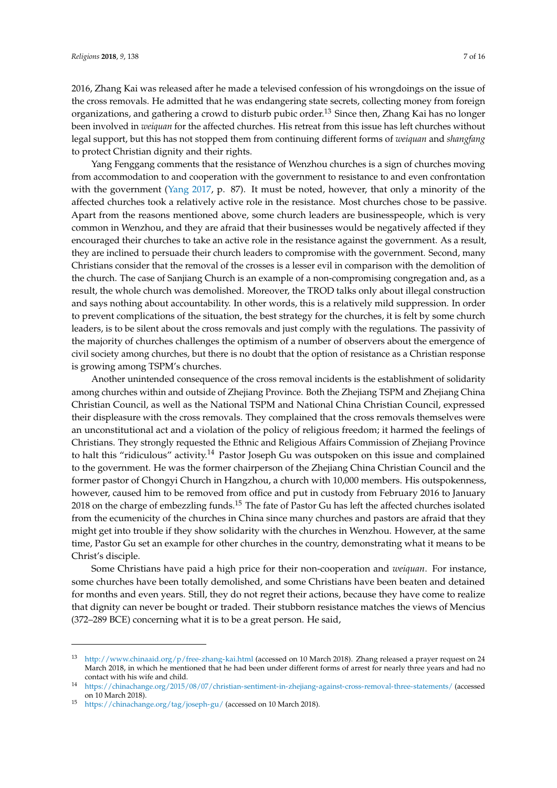2016, Zhang Kai was released after he made a televised confession of his wrongdoings on the issue of the cross removals. He admitted that he was endangering state secrets, collecting money from foreign organizations, and gathering a crowd to disturb pubic order.<sup>13</sup> Since then, Zhang Kai has no longer been involved in *weiquan* for the affected churches. His retreat from this issue has left churches without legal support, but this has not stopped them from continuing different forms of *weiquan* and *shangfang* to protect Christian dignity and their rights.

Yang Fenggang comments that the resistance of Wenzhou churches is a sign of churches moving from accommodation to and cooperation with the government to resistance to and even confrontation with the government [\(Yang](#page-15-9) [2017,](#page-15-9) p. 87). It must be noted, however, that only a minority of the affected churches took a relatively active role in the resistance. Most churches chose to be passive. Apart from the reasons mentioned above, some church leaders are businesspeople, which is very common in Wenzhou, and they are afraid that their businesses would be negatively affected if they encouraged their churches to take an active role in the resistance against the government. As a result, they are inclined to persuade their church leaders to compromise with the government. Second, many Christians consider that the removal of the crosses is a lesser evil in comparison with the demolition of the church. The case of Sanjiang Church is an example of a non-compromising congregation and, as a result, the whole church was demolished. Moreover, the TROD talks only about illegal construction and says nothing about accountability. In other words, this is a relatively mild suppression. In order to prevent complications of the situation, the best strategy for the churches, it is felt by some church leaders, is to be silent about the cross removals and just comply with the regulations. The passivity of the majority of churches challenges the optimism of a number of observers about the emergence of civil society among churches, but there is no doubt that the option of resistance as a Christian response is growing among TSPM's churches.

Another unintended consequence of the cross removal incidents is the establishment of solidarity among churches within and outside of Zhejiang Province. Both the Zhejiang TSPM and Zhejiang China Christian Council, as well as the National TSPM and National China Christian Council, expressed their displeasure with the cross removals. They complained that the cross removals themselves were an unconstitutional act and a violation of the policy of religious freedom; it harmed the feelings of Christians. They strongly requested the Ethnic and Religious Affairs Commission of Zhejiang Province to halt this "ridiculous" activity.<sup>14</sup> Pastor Joseph Gu was outspoken on this issue and complained to the government. He was the former chairperson of the Zhejiang China Christian Council and the former pastor of Chongyi Church in Hangzhou, a church with 10,000 members. His outspokenness, however, caused him to be removed from office and put in custody from February 2016 to January 2018 on the charge of embezzling funds.<sup>15</sup> The fate of Pastor Gu has left the affected churches isolated from the ecumenicity of the churches in China since many churches and pastors are afraid that they might get into trouble if they show solidarity with the churches in Wenzhou. However, at the same time, Pastor Gu set an example for other churches in the country, demonstrating what it means to be Christ's disciple.

Some Christians have paid a high price for their non-cooperation and *weiquan*. For instance, some churches have been totally demolished, and some Christians have been beaten and detained for months and even years. Still, they do not regret their actions, because they have come to realize that dignity can never be bought or traded. Their stubborn resistance matches the views of Mencius (372–289 BCE) concerning what it is to be a great person. He said,

<sup>13</sup> <http://www.chinaaid.org/p/free-zhang-kai.html> (accessed on 10 March 2018). Zhang released a prayer request on 24 March 2018, in which he mentioned that he had been under different forms of arrest for nearly three years and had no contact with his wife and child.

<sup>14</sup> <https://chinachange.org/2015/08/07/christian-sentiment-in-zhejiang-against-cross-removal-three-statements/> (accessed on 10 March 2018).

<sup>15</sup> <https://chinachange.org/tag/joseph-gu/> (accessed on 10 March 2018).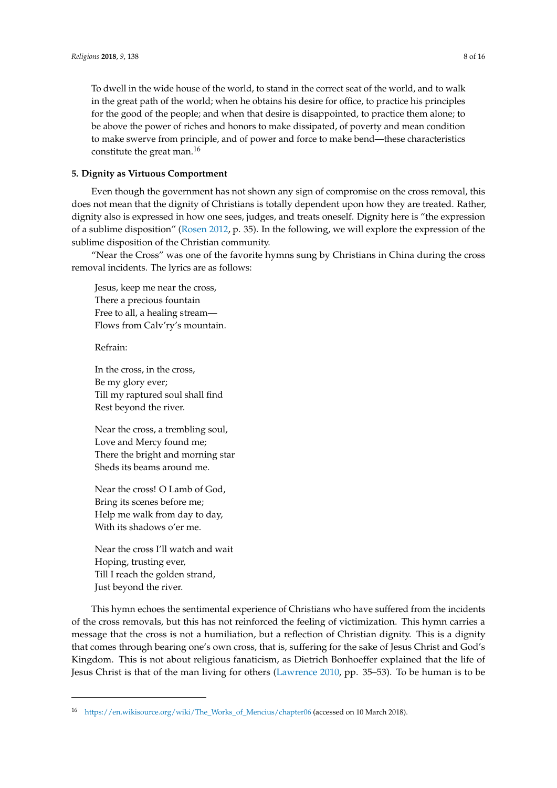To dwell in the wide house of the world, to stand in the correct seat of the world, and to walk in the great path of the world; when he obtains his desire for office, to practice his principles for the good of the people; and when that desire is disappointed, to practice them alone; to be above the power of riches and honors to make dissipated, of poverty and mean condition to make swerve from principle, and of power and force to make bend—these characteristics constitute the great man.<sup>16</sup>

## **5. Dignity as Virtuous Comportment**

Even though the government has not shown any sign of compromise on the cross removal, this does not mean that the dignity of Christians is totally dependent upon how they are treated. Rather, dignity also is expressed in how one sees, judges, and treats oneself. Dignity here is "the expression of a sublime disposition" [\(Rosen](#page-15-10) [2012,](#page-15-10) p. 35). In the following, we will explore the expression of the sublime disposition of the Christian community.

"Near the Cross" was one of the favorite hymns sung by Christians in China during the cross removal incidents. The lyrics are as follows:

Jesus, keep me near the cross, There a precious fountain Free to all, a healing stream— Flows from Calv'ry's mountain.

Refrain:

In the cross, in the cross, Be my glory ever; Till my raptured soul shall find Rest beyond the river.

Near the cross, a trembling soul, Love and Mercy found me; There the bright and morning star Sheds its beams around me.

Near the cross! O Lamb of God, Bring its scenes before me; Help me walk from day to day, With its shadows o'er me.

Near the cross I'll watch and wait Hoping, trusting ever, Till I reach the golden strand, Just beyond the river.

This hymn echoes the sentimental experience of Christians who have suffered from the incidents of the cross removals, but this has not reinforced the feeling of victimization. This hymn carries a message that the cross is not a humiliation, but a reflection of Christian dignity. This is a dignity that comes through bearing one's own cross, that is, suffering for the sake of Jesus Christ and God's Kingdom. This is not about religious fanaticism, as Dietrich Bonhoeffer explained that the life of Jesus Christ is that of the man living for others [\(Lawrence](#page-15-11) [2010,](#page-15-11) pp. 35–53). To be human is to be

<sup>16</sup> [https://en.wikisource.org/wiki/The\\_Works\\_of\\_Mencius/chapter06](https://en.wikisource.org/wiki/The_Works_of_Mencius/chapter06) (accessed on 10 March 2018).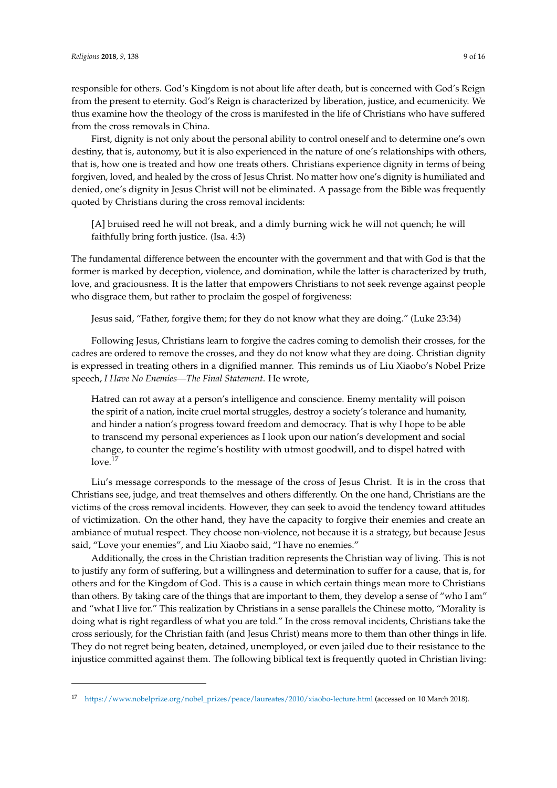from the cross removals in China. First, dignity is not only about the personal ability to control oneself and to determine one's own destiny, that is, autonomy, but it is also experienced in the nature of one's relationships with others, that is, how one is treated and how one treats others. Christians experience dignity in terms of being forgiven, loved, and healed by the cross of Jesus Christ. No matter how one's dignity is humiliated and denied, one's dignity in Jesus Christ will not be eliminated. A passage from the Bible was frequently quoted by Christians during the cross removal incidents:

[A] bruised reed he will not break, and a dimly burning wick he will not quench; he will faithfully bring forth justice. (Isa. 4:3)

The fundamental difference between the encounter with the government and that with God is that the former is marked by deception, violence, and domination, while the latter is characterized by truth, love, and graciousness. It is the latter that empowers Christians to not seek revenge against people who disgrace them, but rather to proclaim the gospel of forgiveness:

Jesus said, "Father, forgive them; for they do not know what they are doing." (Luke 23:34)

Following Jesus, Christians learn to forgive the cadres coming to demolish their crosses, for the cadres are ordered to remove the crosses, and they do not know what they are doing. Christian dignity is expressed in treating others in a dignified manner. This reminds us of Liu Xiaobo's Nobel Prize speech, *I Have No Enemies*—*The Final Statement*. He wrote,

Hatred can rot away at a person's intelligence and conscience. Enemy mentality will poison the spirit of a nation, incite cruel mortal struggles, destroy a society's tolerance and humanity, and hinder a nation's progress toward freedom and democracy. That is why I hope to be able to transcend my personal experiences as I look upon our nation's development and social change, to counter the regime's hostility with utmost goodwill, and to dispel hatred with  $love.<sup>17</sup>$ 

Liu's message corresponds to the message of the cross of Jesus Christ. It is in the cross that Christians see, judge, and treat themselves and others differently. On the one hand, Christians are the victims of the cross removal incidents. However, they can seek to avoid the tendency toward attitudes of victimization. On the other hand, they have the capacity to forgive their enemies and create an ambiance of mutual respect. They choose non-violence, not because it is a strategy, but because Jesus said, "Love your enemies", and Liu Xiaobo said, "I have no enemies."

Additionally, the cross in the Christian tradition represents the Christian way of living. This is not to justify any form of suffering, but a willingness and determination to suffer for a cause, that is, for others and for the Kingdom of God. This is a cause in which certain things mean more to Christians than others. By taking care of the things that are important to them, they develop a sense of "who I am" and "what I live for." This realization by Christians in a sense parallels the Chinese motto, "Morality is doing what is right regardless of what you are told." In the cross removal incidents, Christians take the cross seriously, for the Christian faith (and Jesus Christ) means more to them than other things in life. They do not regret being beaten, detained, unemployed, or even jailed due to their resistance to the injustice committed against them. The following biblical text is frequently quoted in Christian living:

<sup>17</sup> [https://www.nobelprize.org/nobel\\_prizes/peace/laureates/2010/xiaobo-lecture.html](https://www.nobelprize.org/nobel_prizes/peace/laureates/2010/xiaobo-lecture.html) (accessed on 10 March 2018).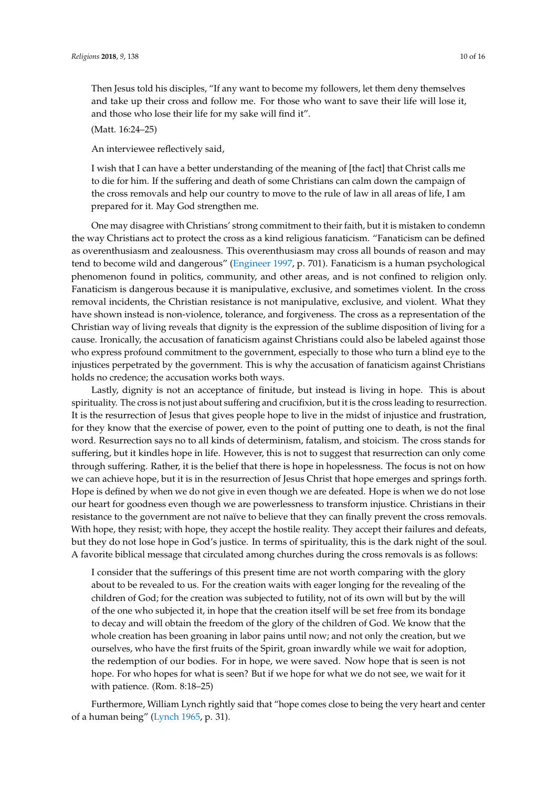Then Jesus told his disciples, "If any want to become my followers, let them deny themselves and take up their cross and follow me. For those who want to save their life will lose it, and those who lose their life for my sake will find it".

(Matt. 16:24–25)

An interviewee reflectively said,

I wish that I can have a better understanding of the meaning of [the fact] that Christ calls me to die for him. If the suffering and death of some Christians can calm down the campaign of the cross removals and help our country to move to the rule of law in all areas of life, I am prepared for it. May God strengthen me.

One may disagree with Christians' strong commitment to their faith, but it is mistaken to condemn the way Christians act to protect the cross as a kind religious fanaticism. "Fanaticism can be defined as overenthusiasm and zealousness. This overenthusiasm may cross all bounds of reason and may tend to become wild and dangerous" [\(Engineer](#page-15-12) [1997,](#page-15-12) p. 701). Fanaticism is a human psychological phenomenon found in politics, community, and other areas, and is not confined to religion only. Fanaticism is dangerous because it is manipulative, exclusive, and sometimes violent. In the cross removal incidents, the Christian resistance is not manipulative, exclusive, and violent. What they have shown instead is non-violence, tolerance, and forgiveness. The cross as a representation of the Christian way of living reveals that dignity is the expression of the sublime disposition of living for a cause. Ironically, the accusation of fanaticism against Christians could also be labeled against those who express profound commitment to the government, especially to those who turn a blind eye to the injustices perpetrated by the government. This is why the accusation of fanaticism against Christians holds no credence; the accusation works both ways.

Lastly, dignity is not an acceptance of finitude, but instead is living in hope. This is about spirituality. The cross is not just about suffering and crucifixion, but it is the cross leading to resurrection. It is the resurrection of Jesus that gives people hope to live in the midst of injustice and frustration, for they know that the exercise of power, even to the point of putting one to death, is not the final word. Resurrection says no to all kinds of determinism, fatalism, and stoicism. The cross stands for suffering, but it kindles hope in life. However, this is not to suggest that resurrection can only come through suffering. Rather, it is the belief that there is hope in hopelessness. The focus is not on how we can achieve hope, but it is in the resurrection of Jesus Christ that hope emerges and springs forth. Hope is defined by when we do not give in even though we are defeated. Hope is when we do not lose our heart for goodness even though we are powerlessness to transform injustice. Christians in their resistance to the government are not naïve to believe that they can finally prevent the cross removals. With hope, they resist; with hope, they accept the hostile reality. They accept their failures and defeats, but they do not lose hope in God's justice. In terms of spirituality, this is the dark night of the soul. A favorite biblical message that circulated among churches during the cross removals is as follows:

I consider that the sufferings of this present time are not worth comparing with the glory about to be revealed to us. For the creation waits with eager longing for the revealing of the children of God; for the creation was subjected to futility, not of its own will but by the will of the one who subjected it, in hope that the creation itself will be set free from its bondage to decay and will obtain the freedom of the glory of the children of God. We know that the whole creation has been groaning in labor pains until now; and not only the creation, but we ourselves, who have the first fruits of the Spirit, groan inwardly while we wait for adoption, the redemption of our bodies. For in hope, we were saved. Now hope that is seen is not hope. For who hopes for what is seen? But if we hope for what we do not see, we wait for it with patience. (Rom. 8:18–25)

Furthermore, William Lynch rightly said that "hope comes close to being the very heart and center of a human being" [\(Lynch](#page-15-13) [1965,](#page-15-13) p. 31).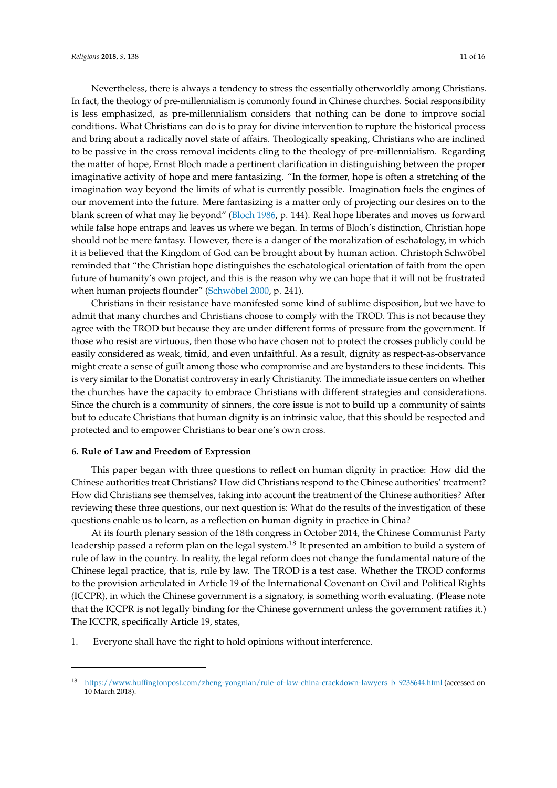Nevertheless, there is always a tendency to stress the essentially otherworldly among Christians. In fact, the theology of pre-millennialism is commonly found in Chinese churches. Social responsibility is less emphasized, as pre-millennialism considers that nothing can be done to improve social conditions. What Christians can do is to pray for divine intervention to rupture the historical process and bring about a radically novel state of affairs. Theologically speaking, Christians who are inclined to be passive in the cross removal incidents cling to the theology of pre-millennialism. Regarding the matter of hope, Ernst Bloch made a pertinent clarification in distinguishing between the proper imaginative activity of hope and mere fantasizing. "In the former, hope is often a stretching of the imagination way beyond the limits of what is currently possible. Imagination fuels the engines of our movement into the future. Mere fantasizing is a matter only of projecting our desires on to the blank screen of what may lie beyond" [\(Bloch](#page-15-14) [1986,](#page-15-14) p. 144). Real hope liberates and moves us forward while false hope entraps and leaves us where we began. In terms of Bloch's distinction, Christian hope should not be mere fantasy. However, there is a danger of the moralization of eschatology, in which it is believed that the Kingdom of God can be brought about by human action. Christoph Schwöbel reminded that "the Christian hope distinguishes the eschatological orientation of faith from the open future of humanity's own project, and this is the reason why we can hope that it will not be frustrated when human projects flounder" [\(Schwöbel](#page-15-15) [2000,](#page-15-15) p. 241).

Christians in their resistance have manifested some kind of sublime disposition, but we have to admit that many churches and Christians choose to comply with the TROD. This is not because they agree with the TROD but because they are under different forms of pressure from the government. If those who resist are virtuous, then those who have chosen not to protect the crosses publicly could be easily considered as weak, timid, and even unfaithful. As a result, dignity as respect-as-observance might create a sense of guilt among those who compromise and are bystanders to these incidents. This is very similar to the Donatist controversy in early Christianity. The immediate issue centers on whether the churches have the capacity to embrace Christians with different strategies and considerations. Since the church is a community of sinners, the core issue is not to build up a community of saints but to educate Christians that human dignity is an intrinsic value, that this should be respected and protected and to empower Christians to bear one's own cross.

#### **6. Rule of Law and Freedom of Expression**

This paper began with three questions to reflect on human dignity in practice: How did the Chinese authorities treat Christians? How did Christians respond to the Chinese authorities' treatment? How did Christians see themselves, taking into account the treatment of the Chinese authorities? After reviewing these three questions, our next question is: What do the results of the investigation of these questions enable us to learn, as a reflection on human dignity in practice in China?

At its fourth plenary session of the 18th congress in October 2014, the Chinese Communist Party leadership passed a reform plan on the legal system.<sup>18</sup> It presented an ambition to build a system of rule of law in the country. In reality, the legal reform does not change the fundamental nature of the Chinese legal practice, that is, rule by law. The TROD is a test case. Whether the TROD conforms to the provision articulated in Article 19 of the International Covenant on Civil and Political Rights (ICCPR), in which the Chinese government is a signatory, is something worth evaluating. (Please note that the ICCPR is not legally binding for the Chinese government unless the government ratifies it.) The ICCPR, specifically Article 19, states,

1. Everyone shall have the right to hold opinions without interference.

<sup>18</sup> [https://www.huffingtonpost.com/zheng-yongnian/rule-of-law-china-crackdown-lawyers\\_b\\_9238644.html](https://www.huffingtonpost.com/zheng-yongnian/rule-of-law-china-crackdown-lawyers_b_9238644.html) (accessed on 10 March 2018).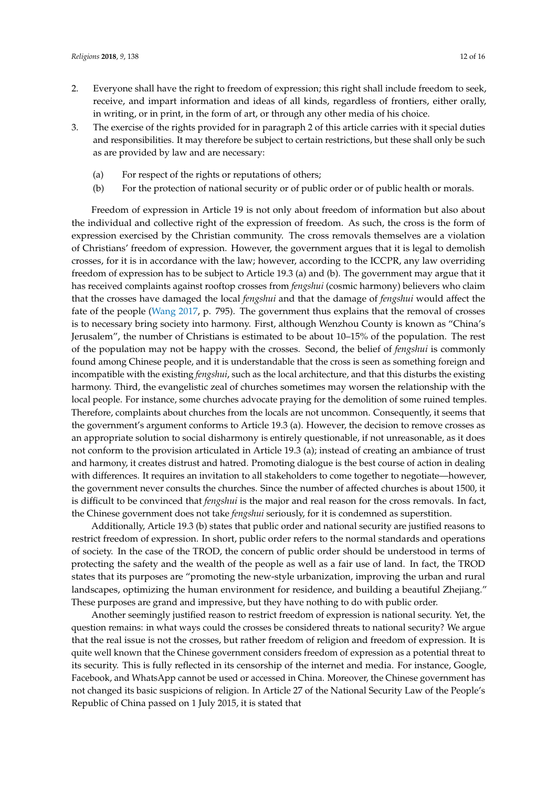- 2. Everyone shall have the right to freedom of expression; this right shall include freedom to seek, receive, and impart information and ideas of all kinds, regardless of frontiers, either orally, in writing, or in print, in the form of art, or through any other media of his choice.
- 3. The exercise of the rights provided for in paragraph 2 of this article carries with it special duties and responsibilities. It may therefore be subject to certain restrictions, but these shall only be such as are provided by law and are necessary:
	- (a) For respect of the rights or reputations of others;
	- (b) For the protection of national security or of public order or of public health or morals.

Freedom of expression in Article 19 is not only about freedom of information but also about the individual and collective right of the expression of freedom. As such, the cross is the form of expression exercised by the Christian community. The cross removals themselves are a violation of Christians' freedom of expression. However, the government argues that it is legal to demolish crosses, for it is in accordance with the law; however, according to the ICCPR, any law overriding freedom of expression has to be subject to Article 19.3 (a) and (b). The government may argue that it has received complaints against rooftop crosses from *fengshui* (cosmic harmony) believers who claim that the crosses have damaged the local *fengshui* and that the damage of *fengshui* would affect the fate of the people [\(Wang](#page-15-2) [2017,](#page-15-2) p. 795). The government thus explains that the removal of crosses is to necessary bring society into harmony. First, although Wenzhou County is known as "China's Jerusalem", the number of Christians is estimated to be about 10–15% of the population. The rest of the population may not be happy with the crosses. Second, the belief of *fengshui* is commonly found among Chinese people, and it is understandable that the cross is seen as something foreign and incompatible with the existing *fengshui*, such as the local architecture, and that this disturbs the existing harmony. Third, the evangelistic zeal of churches sometimes may worsen the relationship with the local people. For instance, some churches advocate praying for the demolition of some ruined temples. Therefore, complaints about churches from the locals are not uncommon. Consequently, it seems that the government's argument conforms to Article 19.3 (a). However, the decision to remove crosses as an appropriate solution to social disharmony is entirely questionable, if not unreasonable, as it does not conform to the provision articulated in Article 19.3 (a); instead of creating an ambiance of trust and harmony, it creates distrust and hatred. Promoting dialogue is the best course of action in dealing with differences. It requires an invitation to all stakeholders to come together to negotiate—however, the government never consults the churches. Since the number of affected churches is about 1500, it is difficult to be convinced that *fengshui* is the major and real reason for the cross removals. In fact, the Chinese government does not take *fengshui* seriously, for it is condemned as superstition.

Additionally, Article 19.3 (b) states that public order and national security are justified reasons to restrict freedom of expression. In short, public order refers to the normal standards and operations of society. In the case of the TROD, the concern of public order should be understood in terms of protecting the safety and the wealth of the people as well as a fair use of land. In fact, the TROD states that its purposes are "promoting the new-style urbanization, improving the urban and rural landscapes, optimizing the human environment for residence, and building a beautiful Zhejiang." These purposes are grand and impressive, but they have nothing to do with public order.

Another seemingly justified reason to restrict freedom of expression is national security. Yet, the question remains: in what ways could the crosses be considered threats to national security? We argue that the real issue is not the crosses, but rather freedom of religion and freedom of expression. It is quite well known that the Chinese government considers freedom of expression as a potential threat to its security. This is fully reflected in its censorship of the internet and media. For instance, Google, Facebook, and WhatsApp cannot be used or accessed in China. Moreover, the Chinese government has not changed its basic suspicions of religion. In Article 27 of the National Security Law of the People's Republic of China passed on 1 July 2015, it is stated that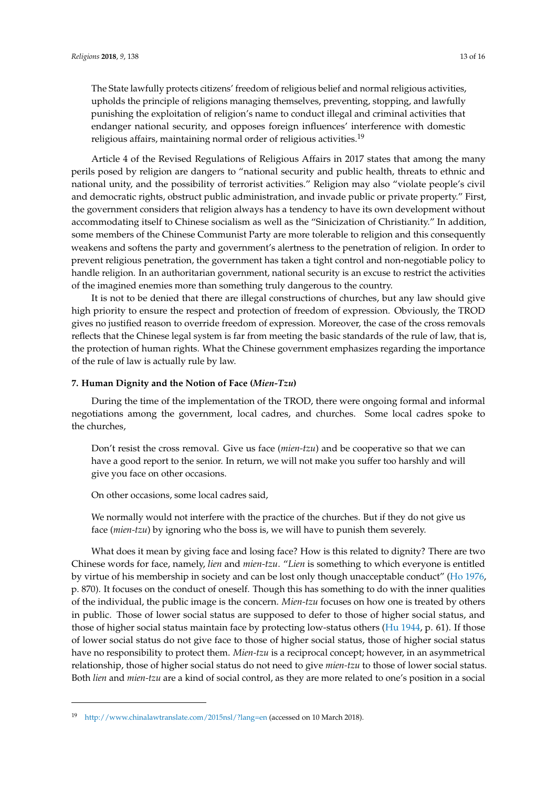The State lawfully protects citizens' freedom of religious belief and normal religious activities, upholds the principle of religions managing themselves, preventing, stopping, and lawfully punishing the exploitation of religion's name to conduct illegal and criminal activities that endanger national security, and opposes foreign influences' interference with domestic religious affairs, maintaining normal order of religious activities.<sup>19</sup>

Article 4 of the Revised Regulations of Religious Affairs in 2017 states that among the many perils posed by religion are dangers to "national security and public health, threats to ethnic and national unity, and the possibility of terrorist activities." Religion may also "violate people's civil and democratic rights, obstruct public administration, and invade public or private property." First, the government considers that religion always has a tendency to have its own development without accommodating itself to Chinese socialism as well as the "Sinicization of Christianity." In addition, some members of the Chinese Communist Party are more tolerable to religion and this consequently weakens and softens the party and government's alertness to the penetration of religion. In order to prevent religious penetration, the government has taken a tight control and non-negotiable policy to handle religion. In an authoritarian government, national security is an excuse to restrict the activities of the imagined enemies more than something truly dangerous to the country.

It is not to be denied that there are illegal constructions of churches, but any law should give high priority to ensure the respect and protection of freedom of expression. Obviously, the TROD gives no justified reason to override freedom of expression. Moreover, the case of the cross removals reflects that the Chinese legal system is far from meeting the basic standards of the rule of law, that is, the protection of human rights. What the Chinese government emphasizes regarding the importance of the rule of law is actually rule by law.

## **7. Human Dignity and the Notion of Face (***Mien-Tzu***)**

During the time of the implementation of the TROD, there were ongoing formal and informal negotiations among the government, local cadres, and churches. Some local cadres spoke to the churches,

Don't resist the cross removal. Give us face (*mien-tzu*) and be cooperative so that we can have a good report to the senior. In return, we will not make you suffer too harshly and will give you face on other occasions.

On other occasions, some local cadres said,

We normally would not interfere with the practice of the churches. But if they do not give us face (*mien-tzu*) by ignoring who the boss is, we will have to punish them severely.

What does it mean by giving face and losing face? How is this related to dignity? There are two Chinese words for face, namely, *lien* and *mien-tzu*. "*Lien* is something to which everyone is entitled by virtue of his membership in society and can be lost only though unacceptable conduct" [\(Ho](#page-15-16) [1976,](#page-15-16) p. 870). It focuses on the conduct of oneself. Though this has something to do with the inner qualities of the individual, the public image is the concern. *Mien-tzu* focuses on how one is treated by others in public. Those of lower social status are supposed to defer to those of higher social status, and those of higher social status maintain face by protecting low-status others [\(Hu](#page-15-17) [1944,](#page-15-17) p. 61). If those of lower social status do not give face to those of higher social status, those of higher social status have no responsibility to protect them. *Mien-tzu* is a reciprocal concept; however, in an asymmetrical relationship, those of higher social status do not need to give *mien-tzu* to those of lower social status. Both *lien* and *mien-tzu* are a kind of social control, as they are more related to one's position in a social

<sup>19</sup> <http://www.chinalawtranslate.com/2015nsl/?lang=en> (accessed on 10 March 2018).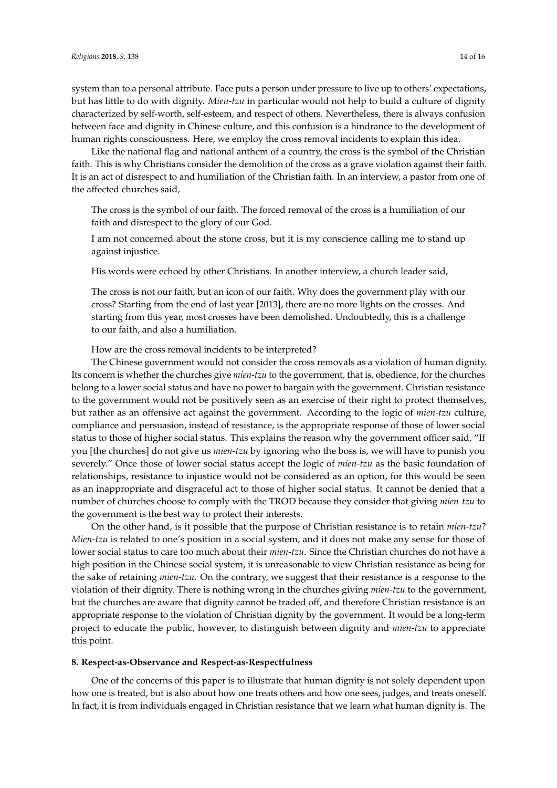system than to a personal attribute. Face puts a person under pressure to live up to others' expectations, but has little to do with dignity. *Mien-tzu* in particular would not help to build a culture of dignity characterized by self-worth, self-esteem, and respect of others. Nevertheless, there is always confusion between face and dignity in Chinese culture, and this confusion is a hindrance to the development of human rights consciousness. Here, we employ the cross removal incidents to explain this idea.

Like the national flag and national anthem of a country, the cross is the symbol of the Christian faith. This is why Christians consider the demolition of the cross as a grave violation against their faith. It is an act of disrespect to and humiliation of the Christian faith. In an interview, a pastor from one of the affected churches said,

The cross is the symbol of our faith. The forced removal of the cross is a humiliation of our faith and disrespect to the glory of our God.

I am not concerned about the stone cross, but it is my conscience calling me to stand up against injustice.

His words were echoed by other Christians. In another interview, a church leader said,

The cross is not our faith, but an icon of our faith. Why does the government play with our cross? Starting from the end of last year [2013], there are no more lights on the crosses. And starting from this year, most crosses have been demolished. Undoubtedly, this is a challenge to our faith, and also a humiliation.

How are the cross removal incidents to be interpreted?

The Chinese government would not consider the cross removals as a violation of human dignity. Its concern is whether the churches give *mien-tzu* to the government, that is, obedience, for the churches belong to a lower social status and have no power to bargain with the government. Christian resistance to the government would not be positively seen as an exercise of their right to protect themselves, but rather as an offensive act against the government. According to the logic of *mien-tzu* culture, compliance and persuasion, instead of resistance, is the appropriate response of those of lower social status to those of higher social status. This explains the reason why the government officer said, "If you [the churches] do not give us *mien-tzu* by ignoring who the boss is, we will have to punish you severely." Once those of lower social status accept the logic of *mien-tzu* as the basic foundation of relationships, resistance to injustice would not be considered as an option, for this would be seen as an inappropriate and disgraceful act to those of higher social status. It cannot be denied that a number of churches choose to comply with the TROD because they consider that giving *mien-tzu* to the government is the best way to protect their interests.

On the other hand, is it possible that the purpose of Christian resistance is to retain *mien-tzu*? *Mien-tzu* is related to one's position in a social system, and it does not make any sense for those of lower social status to care too much about their *mien-tzu*. Since the Christian churches do not have a high position in the Chinese social system, it is unreasonable to view Christian resistance as being for the sake of retaining *mien-tzu*. On the contrary, we suggest that their resistance is a response to the violation of their dignity. There is nothing wrong in the churches giving *mien-tzu* to the government, but the churches are aware that dignity cannot be traded off, and therefore Christian resistance is an appropriate response to the violation of Christian dignity by the government. It would be a long-term project to educate the public, however, to distinguish between dignity and *mien-tzu* to appreciate this point.

#### **8. Respect-as-Observance and Respect-as-Respectfulness**

One of the concerns of this paper is to illustrate that human dignity is not solely dependent upon how one is treated, but is also about how one treats others and how one sees, judges, and treats oneself. In fact, it is from individuals engaged in Christian resistance that we learn what human dignity is. The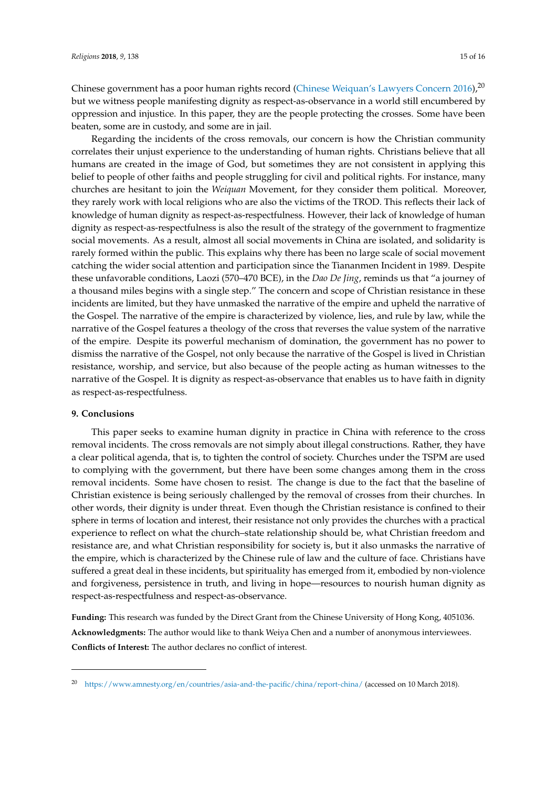Chinese government has a poor human rights record [\(Chinese Weiquan's Lawyers Concern](#page-15-18) [2016\)](#page-15-18),<sup>20</sup> but we witness people manifesting dignity as respect-as-observance in a world still encumbered by oppression and injustice. In this paper, they are the people protecting the crosses. Some have been beaten, some are in custody, and some are in jail.

Regarding the incidents of the cross removals, our concern is how the Christian community correlates their unjust experience to the understanding of human rights. Christians believe that all humans are created in the image of God, but sometimes they are not consistent in applying this belief to people of other faiths and people struggling for civil and political rights. For instance, many churches are hesitant to join the *Weiquan* Movement, for they consider them political. Moreover, they rarely work with local religions who are also the victims of the TROD. This reflects their lack of knowledge of human dignity as respect-as-respectfulness. However, their lack of knowledge of human dignity as respect-as-respectfulness is also the result of the strategy of the government to fragmentize social movements. As a result, almost all social movements in China are isolated, and solidarity is rarely formed within the public. This explains why there has been no large scale of social movement catching the wider social attention and participation since the Tiananmen Incident in 1989. Despite these unfavorable conditions, Laozi (570–470 BCE), in the *Dao De Jing*, reminds us that "a journey of a thousand miles begins with a single step." The concern and scope of Christian resistance in these incidents are limited, but they have unmasked the narrative of the empire and upheld the narrative of the Gospel. The narrative of the empire is characterized by violence, lies, and rule by law, while the narrative of the Gospel features a theology of the cross that reverses the value system of the narrative of the empire. Despite its powerful mechanism of domination, the government has no power to dismiss the narrative of the Gospel, not only because the narrative of the Gospel is lived in Christian resistance, worship, and service, but also because of the people acting as human witnesses to the narrative of the Gospel. It is dignity as respect-as-observance that enables us to have faith in dignity as respect-as-respectfulness.

## **9. Conclusions**

This paper seeks to examine human dignity in practice in China with reference to the cross removal incidents. The cross removals are not simply about illegal constructions. Rather, they have a clear political agenda, that is, to tighten the control of society. Churches under the TSPM are used to complying with the government, but there have been some changes among them in the cross removal incidents. Some have chosen to resist. The change is due to the fact that the baseline of Christian existence is being seriously challenged by the removal of crosses from their churches. In other words, their dignity is under threat. Even though the Christian resistance is confined to their sphere in terms of location and interest, their resistance not only provides the churches with a practical experience to reflect on what the church–state relationship should be, what Christian freedom and resistance are, and what Christian responsibility for society is, but it also unmasks the narrative of the empire, which is characterized by the Chinese rule of law and the culture of face. Christians have suffered a great deal in these incidents, but spirituality has emerged from it, embodied by non-violence and forgiveness, persistence in truth, and living in hope—resources to nourish human dignity as respect-as-respectfulness and respect-as-observance.

**Funding:** This research was funded by the Direct Grant from the Chinese University of Hong Kong, 4051036. **Acknowledgments:** The author would like to thank Weiya Chen and a number of anonymous interviewees. **Conflicts of Interest:** The author declares no conflict of interest.

<sup>20</sup> <https://www.amnesty.org/en/countries/asia-and-the-pacific/china/report-china/> (accessed on 10 March 2018).